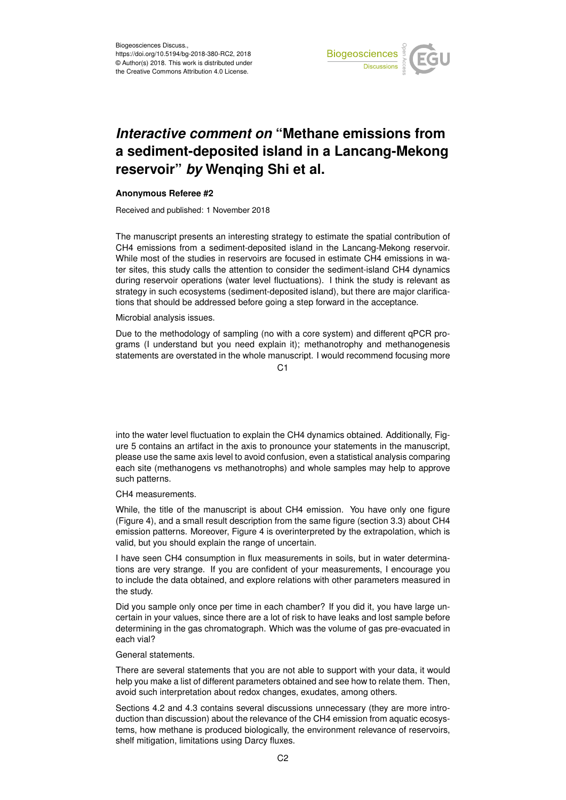

## *Interactive comment on* **"Methane emissions from a sediment-deposited island in a Lancang-Mekong reservoir"** *by* **Wenqing Shi et al.**

## **Anonymous Referee #2**

Received and published: 1 November 2018

The manuscript presents an interesting strategy to estimate the spatial contribution of CH4 emissions from a sediment-deposited island in the Lancang-Mekong reservoir. While most of the studies in reservoirs are focused in estimate CH4 emissions in water sites, this study calls the attention to consider the sediment-island CH4 dynamics during reservoir operations (water level fluctuations). I think the study is relevant as strategy in such ecosystems (sediment-deposited island), but there are major clarifications that should be addressed before going a step forward in the acceptance.

Microbial analysis issues.

Due to the methodology of sampling (no with a core system) and different qPCR programs (I understand but you need explain it); methanotrophy and methanogenesis statements are overstated in the whole manuscript. I would recommend focusing more

 $C<sub>1</sub>$ 

into the water level fluctuation to explain the CH4 dynamics obtained. Additionally, Figure 5 contains an artifact in the axis to pronounce your statements in the manuscript, please use the same axis level to avoid confusion, even a statistical analysis comparing each site (methanogens vs methanotrophs) and whole samples may help to approve such patterns.

CH4 measurements.

While, the title of the manuscript is about CH4 emission. You have only one figure (Figure 4), and a small result description from the same figure (section 3.3) about CH4 emission patterns. Moreover, Figure 4 is overinterpreted by the extrapolation, which is valid, but you should explain the range of uncertain.

I have seen CH4 consumption in flux measurements in soils, but in water determinations are very strange. If you are confident of your measurements, I encourage you to include the data obtained, and explore relations with other parameters measured in the study.

Did you sample only once per time in each chamber? If you did it, you have large uncertain in your values, since there are a lot of risk to have leaks and lost sample before determining in the gas chromatograph. Which was the volume of gas pre-evacuated in each vial?

## General statements.

There are several statements that you are not able to support with your data, it would help you make a list of different parameters obtained and see how to relate them. Then, avoid such interpretation about redox changes, exudates, among others.

Sections 4.2 and 4.3 contains several discussions unnecessary (they are more introduction than discussion) about the relevance of the CH4 emission from aquatic ecosystems, how methane is produced biologically, the environment relevance of reservoirs, shelf mitigation, limitations using Darcy fluxes.